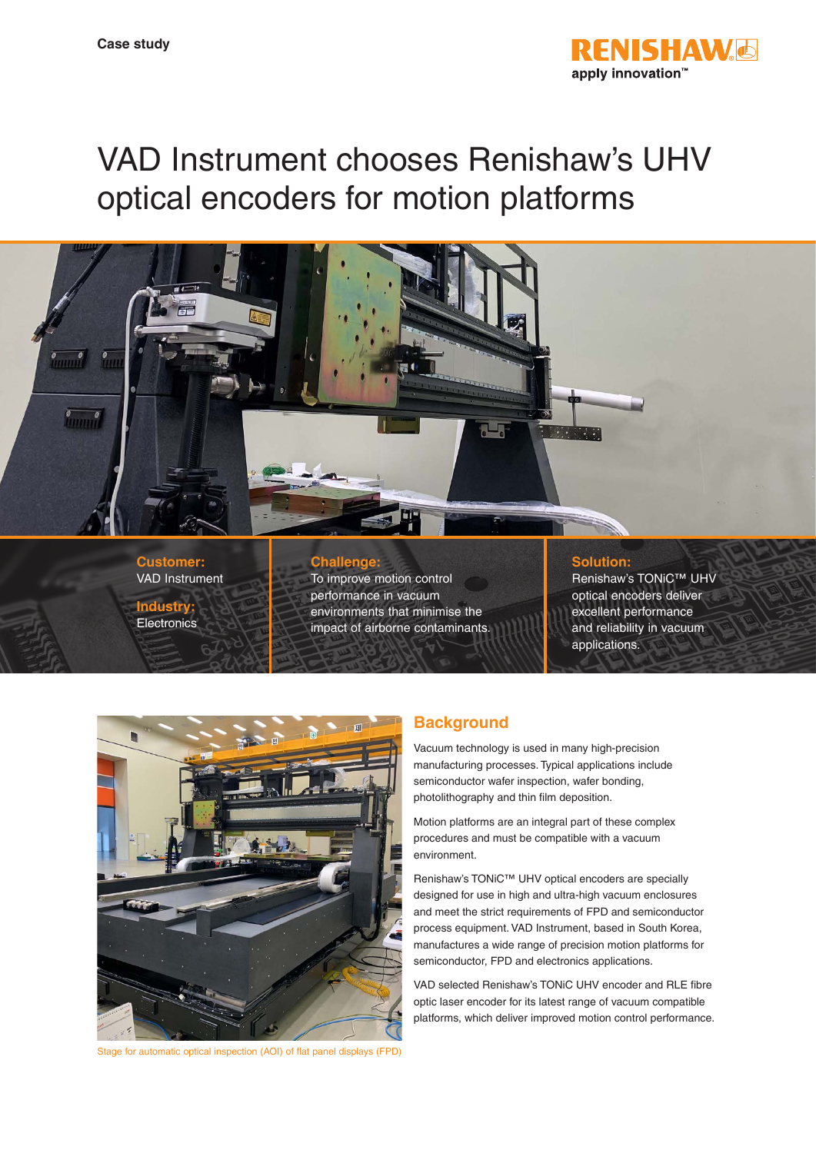

# VAD Instrument chooses Renishaw's UHV optical encoders for motion platforms



**Customer:** VAD Instrument **Industry:**

**Electronics** 

## **Challenge:**

To improve motion control performance in vacuum environments that minimise the impact of airborne contaminants.

#### **Solution:**

Renishaw's TONiC™ UHV optical encoders deliver excellent performance and reliability in vacuum applications.



Stage for automatic optical inspection (AOI) of flat panel displays (FPD)

# **Background**

Vacuum technology is used in many high-precision manufacturing processes. Typical applications include semiconductor wafer inspection, wafer bonding, photolithography and thin film deposition.

Motion platforms are an integral part of these complex procedures and must be compatible with a vacuum environment.

Renishaw's TONiC™ UHV optical encoders are specially designed for use in high and ultra-high vacuum enclosures and meet the strict requirements of FPD and semiconductor process equipment. VAD Instrument, based in South Korea, manufactures a wide range of precision motion platforms for semiconductor, FPD and electronics applications.

VAD selected Renishaw's TONiC UHV encoder and RLE fibre optic laser encoder for its latest range of vacuum compatible platforms, which deliver improved motion control performance.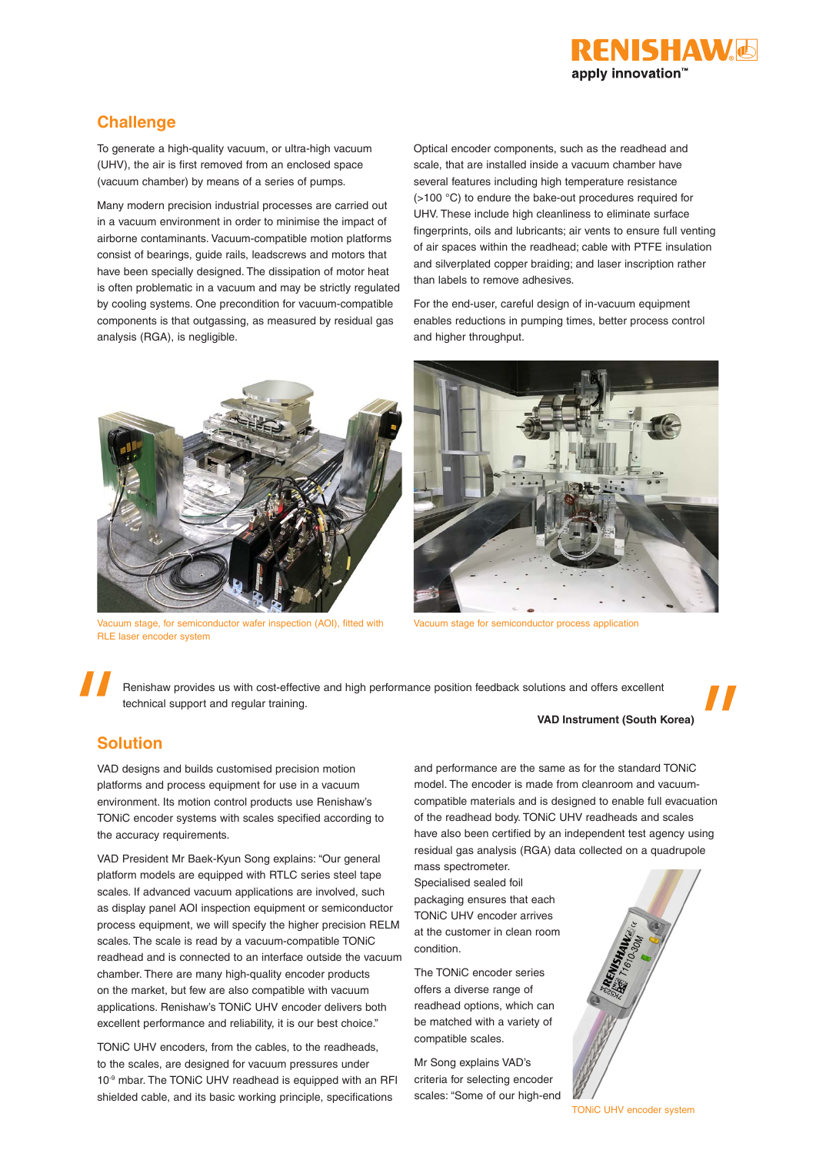

# **Challenge**

To generate a high-quality vacuum, or ultra-high vacuum (UHV), the air is first removed from an enclosed space (vacuum chamber) by means of a series of pumps.

Many modern precision industrial processes are carried out in a vacuum environment in order to minimise the impact of airborne contaminants. Vacuum-compatible motion platforms consist of bearings, guide rails, leadscrews and motors that have been specially designed. The dissipation of motor heat is often problematic in a vacuum and may be strictly regulated by cooling systems. One precondition for vacuum-compatible components is that outgassing, as measured by residual gas analysis (RGA), is negligible.



Vacuum stage, for semiconductor wafer inspection (AOI), fitted with RLE laser encoder system

Optical encoder components, such as the readhead and scale, that are installed inside a vacuum chamber have several features including high temperature resistance (>100 °C) to endure the bake-out procedures required for UHV. These include high cleanliness to eliminate surface fingerprints, oils and lubricants; air vents to ensure full venting of air spaces within the readhead; cable with PTFE insulation and silverplated copper braiding; and laser inscription rather than labels to remove adhesives.

For the end-user, careful design of in-vacuum equipment enables reductions in pumping times, better process control and higher throughput.



Vacuum stage for semiconductor process application

Renishaw provides us with cost-effective and high performance position feedback solutions and offers excellent technical support and regular training.

#### **VAD Instrument (South Korea)**

# **Solution**

VAD designs and builds customised precision motion platforms and process equipment for use in a vacuum environment. Its motion control products use Renishaw's TONiC encoder systems with scales specified according to the accuracy requirements.

VAD President Mr Baek-Kyun Song explains: "Our general platform models are equipped with RTLC series steel tape scales. If advanced vacuum applications are involved, such as display panel AOI inspection equipment or semiconductor process equipment, we will specify the higher precision RELM scales. The scale is read by a vacuum-compatible TONiC readhead and is connected to an interface outside the vacuum chamber. There are many high-quality encoder products on the market, but few are also compatible with vacuum applications. Renishaw's TONiC UHV encoder delivers both excellent performance and reliability, it is our best choice."

TONiC UHV encoders, from the cables, to the readheads, to the scales, are designed for vacuum pressures under 10<sup>-9</sup> mbar. The TONiC UHV readhead is equipped with an RFI shielded cable, and its basic working principle, specifications

and performance are the same as for the standard TONiC model. The encoder is made from cleanroom and vacuumcompatible materials and is designed to enable full evacuation of the readhead body. TONiC UHV readheads and scales have also been certified by an independent test agency using residual gas analysis (RGA) data collected on a quadrupole

mass spectrometer. Specialised sealed foil packaging ensures that each TONiC UHV encoder arrives at the customer in clean room condition.

The TONiC encoder series offers a diverse range of readhead options, which can be matched with a variety of compatible scales.

Mr Song explains VAD's criteria for selecting encoder scales: "Some of our high-end



TONiC UHV encoder system